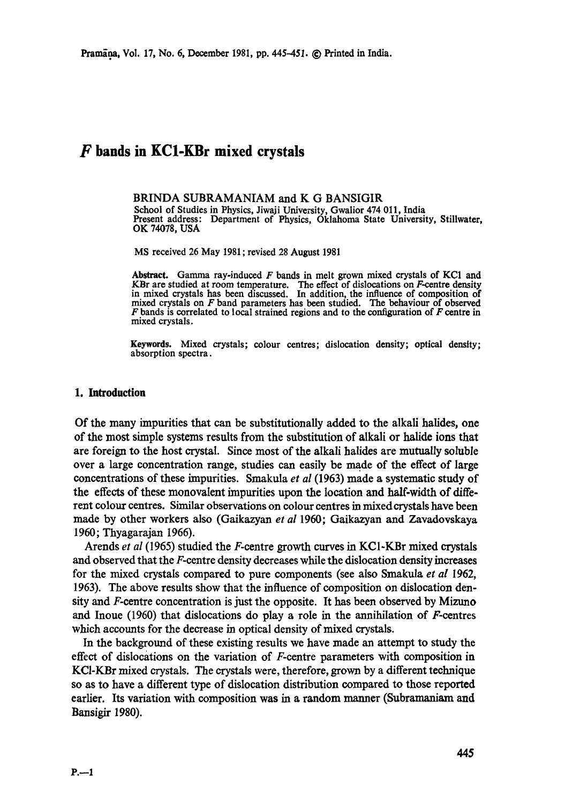# **F bands in KC1-KBr mixed crystals**

BRINDA SUBRAMANIAM and K G BANSIGIR

School of Studies in Physics, Jiwaji University, Gwalior 474 011, India Present address: Department of Physics, Oklahoma State University, Stillwater, OK 74078, USA

MS received 26 May 1981 ; revised 28 August 1981

Abstract. Gamma ray-induced  $F$  bands in melt grown mixed crystals of KC1 and KBr are studied at room temperature. The effect of dislocations on F-centre density in mixed crystals has been discussed. In addition, the influence of composition of mixed crystals on F band parameters has been studied. The behaviour of observed  $F$  bands is correlated to local strained regions and to the configuration of  $F$  centre in mixed crystals.

Keywords. Mixed crystals; colour centres; dislocation density; optical density; absorption spectra.

## **1. Introduction**

Of the many impurities that can be substitutionally added to the alkali halides, one of the most simple systems results from the substitution of alkali or halide ions that are foreign to the host crystal. Since most of the alkali halides are mutually soluble over a large concentration range, studies can easily be made of the effect of large concentrations of these impurities. Smakula *et al* (1963) made a systematic study of the effects of these monovalent impurities upon the location and half-width of different eolour centres. Similar observations on eolour eentres in rnixedcrystals have been made by other workers also (Gaikazyan *et al* 1960; Gaikazyan and Zavadovskaya 1960; Thyagarajan 1966).

Arends *et al* (1965) studied the F-centre growth curves in KC1-KBr mixed crystals and observed that the F-centre density decreases while the dislocation density increases for the mixed crystals compared to pure components (see also Smakula *et al* 1962, 1963). The above results show that the influence of composition on dislocation density and F-centre concentration is just the opposite. It has been observed by Mizuno and Inoue  $(1960)$  that dislocations do play a role in the annihilation of F-centres which accounts for the decrease in optical density of mixed crystals.

In the background of these existing results we have made an attempt to study the effect of dislocations on the variation of F-centre parameters with composition in KCI-KBr mixed crystals. The crystals were, therefore, grown by a different technique so as to have a different type of dislocation distribution compared to those reported earlier. Its variation with composition was in a random manner (Subramaniam and Bansigir 1980).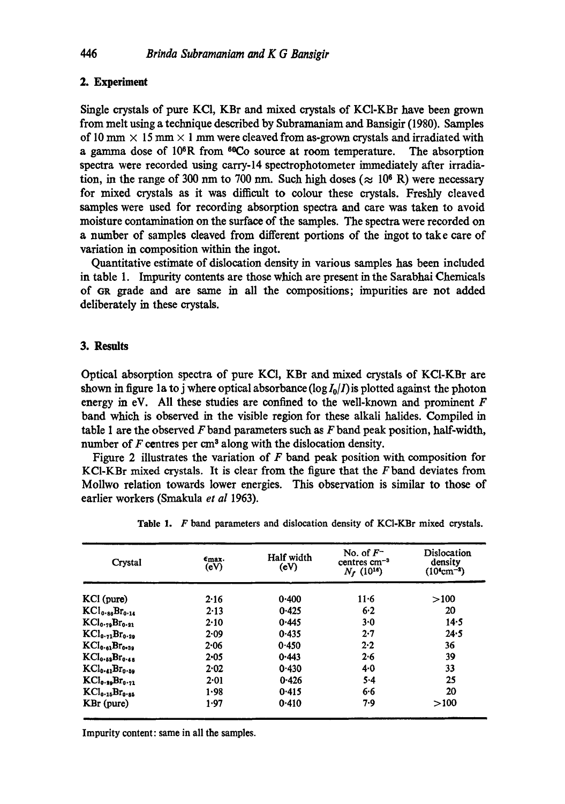# **2. Experiment**

Single crystals of pure KCI, KBr and mixed crystals of KCI-KBr have been grown from melt using a tcclmique described by Subramaniam and Bansigir (1980). Samples of 10 mm  $\times$  15 mm  $\times$  1 mm were cleaved from as-grown crystals and irradiated with a gamma dose of  $10^6$ R from  $6^{\circ}$ Co source at room temperature. The absorption spectra were recorded using carry-14 spectrophotometer immediately after irradiation, in the range of 300 nm to 700 nm. Such high doses ( $\approx 10^6$  R) were necessary for mixed crystals as it was difficult to colour these crystals. Freshly cleaved samples were used for recording absorption spectra and care was taken to avoid moisture contamination on the surface of the samples. The spectra were recorded on a number of samples cleaved from different portions of the ingot to takc care of variation in composition within the ingot.

Quantitative cstimate of dislocation density in various samplcs has been included in table I. Impurity contents are those which are present in the Sarabhai Chemicals of GR grade and are same in all the compositions; impurities are not added deliberately in these crystals.

## **3. Results**

Optical absorption spectra of pure KC1, KBr and mixed crystals of KC1-KBr are shown in figure la to j where optical absorbance  $(\log I_0/I)$  is plotted against the photon energy in eV. All these studies are confined to the well-known and prominent  $F$ band which is observed in the visible region for these alkali halides. Compiled in table 1 are the observed  $F$  band parameters such as  $F$  band peak position, half-width, number of  $F$  centres per cm<sup>3</sup> along with the dislocation density.

Figure 2 illustrates the variation of  $F$  band peak position with composition for KCI-KBr mixed crystals. It is clear from the figure that the F band deviates from Mollwo relation towards lower energies. This observation is similar to those of earlier workers (Smakula *et al* 1963).

| Crystal                                | Emax.<br>(eV) | Half width<br>(eV) | No. of $F^-$<br>centres $cm^{-3}$<br>$N_f$ (10 <sup>16</sup> ) | Dislocation<br>density<br>$(10^{4}cm^{-2})$ |
|----------------------------------------|---------------|--------------------|----------------------------------------------------------------|---------------------------------------------|
| $KCl$ (pure)                           | 2.16          | 0.400              | $11 - 6$                                                       | >100                                        |
| $KCl_{0.86}Br_{0.14}$                  | 2.13          | 0.425              | 6.2                                                            | 20                                          |
| $KCl_{0.79}Br_{0.21}$                  | $2 - 10$      | 0.445              | 3.0                                                            | 14.5                                        |
| $KCl_{0.71}Br_{0.29}$                  | 2.09          | 0.435              | 2.7                                                            | 24.5                                        |
| KCI <sub>0.61</sub> Br <sub>0.39</sub> | 2.06          | 0.450              | 2.2                                                            | 36                                          |
| $KCl_0.53Br_0.45$                      | $2 - 05$      | 0.443              | 2.6                                                            | 39                                          |
| $KCl_{0.41}Br_{0.59}$                  | 2.02          | 0.430              | $4 - 0$                                                        | 33                                          |
| KCl <sub>0.99</sub> Br <sub>0.71</sub> | 2.01          | 0.426              | $5 - 4$                                                        | 25                                          |
| $KCl_{0.15}Br_{0.85}$                  | 1.98          | 0.415              | 6.6                                                            | 20                                          |
| KBr (pure)                             | 1.97          | 0.410              | 7.9                                                            | >100                                        |

**Table** 1. F band parameters and dislocation density of KCI-KBr mixed crystals.

Impurity content: same in all the samples.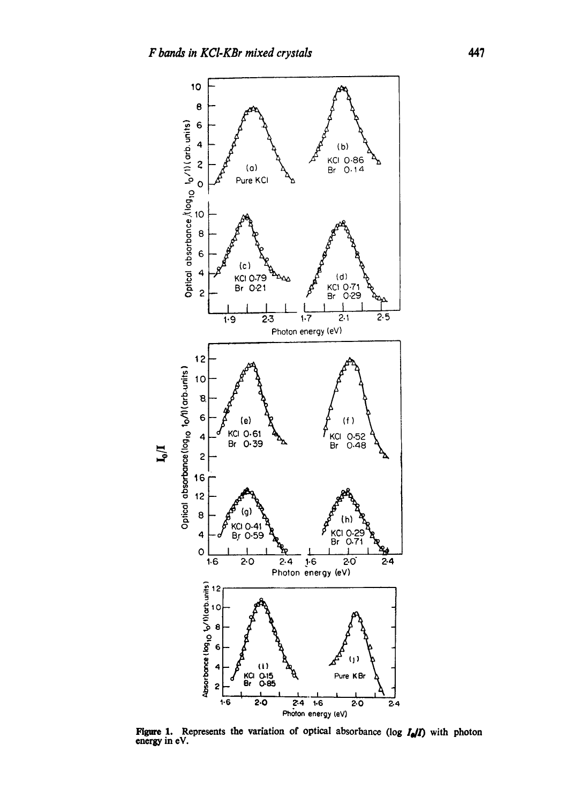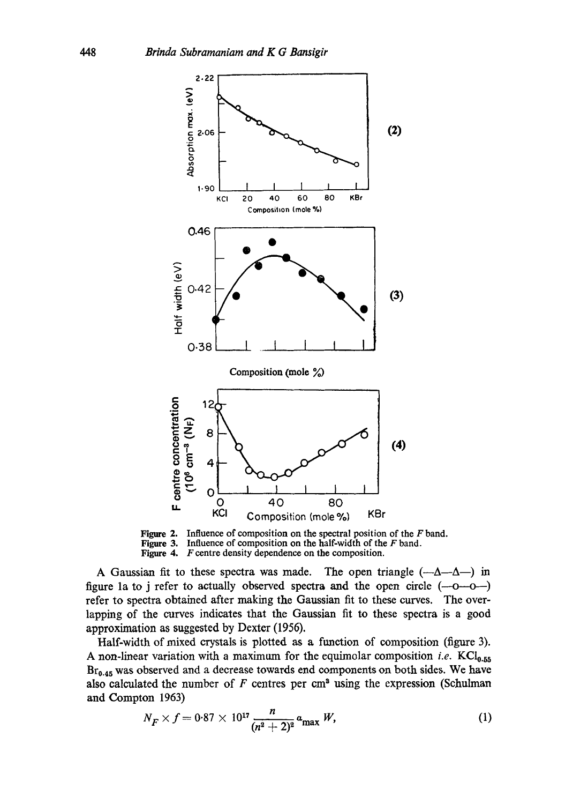



A Gaussian fit to these spectra was made. The open triangle  $(-\Delta - \Delta -)$  in figure 1a to j refer to actually observed spectra and the open circle  $(-0 - 0 - 1)$ refer to spectra obtained after making the Gaussian fit to these curves. The overlapping of the curves indicates that the Gaussian fit to these spectra is a good approximation as suggested by Dexter (1956).

Half-width of mixed crystals is plotted as a function of composition (figure 3). A non-linear variation with a maximum for the equimolar composition *i.e.*  $KCI_{0.55}$ Br<sub>0.45</sub> was observed and a decrease towards end components on both sides. We have also calculated the number of  $F$  centres per cm<sup>3</sup> using the expression (Schulman and Compton 1963)

$$
N_F \times f = 0.87 \times 10^{17} \frac{n}{(n^2 + 2)^2} a_{\text{max}} W,
$$
 (1)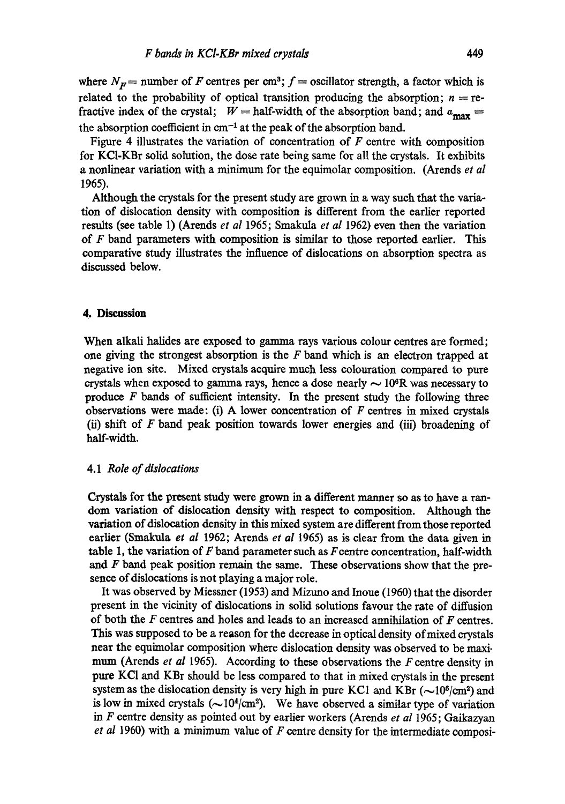where  $N_F$  = number of F centres per cm<sup>3</sup>;  $f$  = oscillator strength, a factor which is related to the probability of optical transition producing the absorption;  $n =$  refractive index of the crystal;  $W =$  half-width of the absorption band; and  $a_{\text{max}} =$ the absorption coefficient in  $cm^{-1}$  at the peak of the absorption band.

Figure 4 illustrates the variation of concentration of  $F$  centre with composition for KC1-KBr solid solution, the dose rate being same for all the crystals. It exhibits a nonlinear variation with a minimum for the equimolar composition. (Arends *et al*  1965).

Although the crystals for the present study are grown in a way such that the variation of dislocation density with composition is different from the earlier reported results (see table 1) (Arends *et al* 1965; Smakula *et al* 1962) even then the variation of F band parameters with composition is similar to those reported earlier. This comparative study illustrates the influence of dislocations on absorption spectra as discussed below.

## **4, Discussion**

When alkali halides are exposed to gamma rays various colour centres are formed; one giving the strongest absorption is the  $F$  band which is an electron trapped at negative ion site. Mixed crystals acquire much less colouration compared to pure crystals when exposed to gamma rays, hence a dose nearly  $\sim 10^6$ R was necessary to produce  $F$  bands of sufficient intensity. In the present study the following three observations were made: (i) A lower concentration of  $F$  centres in mixed crystals (ii) shift of F band peak position towards lower energies and (iii) broadening of half-width.

#### *4.1 Role of dislocations*

Crystals for the present study were grown in a different manner so as to have a random variation of dislocation density with respect to composition. Although the variation of dislocation density in this mixed system are different from those reported earlier (Smakula *et al* 1962; Arends *et al* 1955) as is clear from the data given in table 1, the variation of  $F$  band parameter such as  $F$  centre concentration, half-width and  $F$  band peak position remain the same. These observations show that the presence of dislocations is not playing a major role.

It was observed by Miessner (1953) and Mizuno and Inoue (1960) that the disorder present in the vicinity of dislocations in solid solutions favour the rate of diffusion of both the F centres and holes and leads to an increased annihilation of F centres. This was supposed to be a reason for the decrease in optical density of mixed crystals near the equimolar composition where dislocation density was observed to be maxi. mum (Arends *et al* 1965). According to these observations the F centre density in pure KCI and KBr should be less compared to that in mixed crystals in the present system as the dislocation density is very high in pure KC1 and KBr ( $\sim$ 10<sup>6</sup>/cm<sup>2</sup>) and is low in mixed crystals ( $\sim 10^4/\text{cm}^2$ ). We have observed a similar type of variation in F centre density as pointed out by earlier workers (Arends *et al* 1965; Gaikazyan *et al* 1960) with a minimum value of F centre density for the intermediate composi-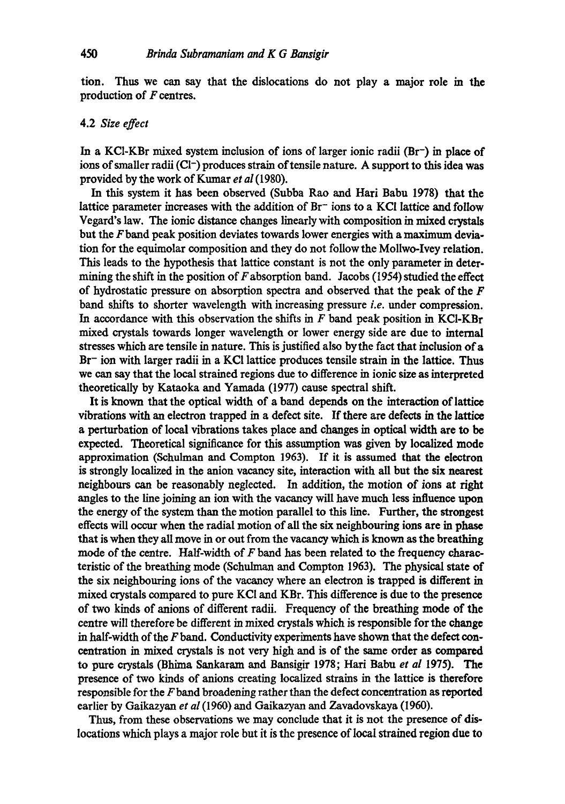tion. Thus we can say that the dislocations do not play a major role in the production of  $F$  centres.

## 4.2 *Size effect*

In a KC1-KBr mixed system inclusion of ions of larger ionic radii (Br-) in place of ions of smaller radii (CI-) produces strain of tensile nature. A support to this idea was provided by the work of Kumar *et al* (1980).

In this system it has been observed (Subba Rao and Hari Babu 1978) that the lattice parameter increases with the addition of  $Br^-$  ions to a KCI lattice and follow Vegard's law. The ionic distance changes linearly with composition in mixed crystals but the Fband peak position deviates towards lower energies with a maximum deviation for the equimolar composition and they do not follow the Mollwo-Ivey relation. This leads to the hypothesis that lattice constant is not the only parameter in determining the shift in the position of  $F$  absorption band. Jacobs (1954) studied the effect of hydrostatic pressure on absorption spectra and observed that the peak of the  $F$ band shifts to shorter wavelength with increasing pressure *i.e.* under compression. In accordance with this observation the shifts in  $F$  band peak position in KCI-KBr mixed crystals towards longer wavelength or lower energy side are due to internal stresses which are tensile in nature. This is justified also bythe fact that inclusion of a Br<sup>-</sup> ion with larger radii in a KCI lattice produces tensile strain in the lattice. Thus we can say that the local strained regions due to difference in ionic size as interpreted theoretically by Kataoka and Yamada (1977) cause spectral shift.

It is known that the optical width of a band depends on the interaction of lattice vibrations with an electron trapped in a defect site. If there are defects in the lattice a perturbation of local vibrations takes place and changes in optical width are to be expected. Theoretical significance for this assumption was given by localized mode approximation (Schulman and Compton 1963). If it is assumed that the electron is strongly localized in the anion vacancy site, interaction with all but the six nearest neighbours can be reasonably neglected. In addition, the motion of ions at right angles to the line joining an ion with the vacancy will have much less influence upon the energy of the system than the motion parallel to this line. Further, the strongest effects will occur when the radial motion of all the six neighbouring ions are in phase that is when they all move in or out from the vacancy which is known as the breathing mode of the centre. Half-width of  $F$  band has been related to the frequency characteristic of the breathing mode (Schulman and Compton 1963). The physical state of the six neighbouring ions of the vacancy where an electron is trapped is different in mixed crystals compared to pure KC1 and KBr. This difference is due to the presence of two kinds of anions of different radii. Frequency of the breathing mode of the centre will therefore be different in mixed crystals which is responsible for the change in half-width of the  $F$  band. Conductivity experiments have shown that the defect concentration in mixed crystals is not very high and is of the same order as compared to pure crystals (Bhima Sankaram and Bansigir 1978; Hari Babu *et al* 1975). The presence of two kinds of anions creating localized strains in the lattice is therefore responsible for the  $F$  band broadening rather than the defect concentration as reported earlier by Gaikazyan *et al* (1960) and Gaikazyan and Zavadovskaya (1960).

Thus, from these observations we may conclude that it is not the presence of dislocations which plays a major role but it is the presence of Iocal strained region due to